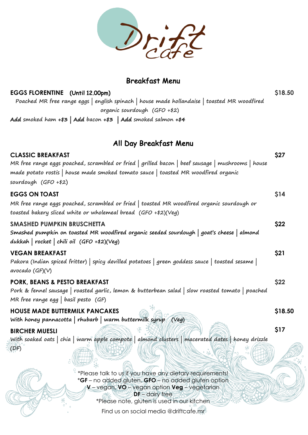

## Breakfast Menu

| EGGS FLORENTINE (Until 12.00pm)<br>Poached MR free range eggs   english spinach   house made hollandaise   toasted MR woodfired                                                         | \$18.50     |
|-----------------------------------------------------------------------------------------------------------------------------------------------------------------------------------------|-------------|
| organic sourdough (GFO +\$2)                                                                                                                                                            |             |
| Add smoked ham $+5$ Add bacon $+5$ Add smoked salmon $+54$                                                                                                                              |             |
|                                                                                                                                                                                         |             |
| All Day Breakfast Menu                                                                                                                                                                  |             |
| <b>CLASSIC BREAKFAST</b>                                                                                                                                                                | \$27        |
| MR free range eggs poached, scrambled or fried   grilled bacon   beef sausage   mushrooms   house<br>made potato rostis   house made smoked tomato sauce   toasted MR woodfired organic |             |
| sourdough $(GFO + $2)$                                                                                                                                                                  |             |
| <b>EGGS ON TOAST</b>                                                                                                                                                                    | \$14        |
| MR free range eggs poached, scrambled or fried   toasted MR woodfired organic sourdough or                                                                                              |             |
| toasted bakery sliced white or wholemeal bread (GFO +\$2)(Veg)                                                                                                                          |             |
| <b>SMASHED PUMPKIN BRUSCHETTA</b>                                                                                                                                                       | \$22        |
| Smashed pumpkin on toasted MR woodfired organic seeded sourdough   goat's cheese   almond                                                                                               |             |
| dukkah   rocket   chili oil $(GFO + \frac{1}{2})(Veg)$                                                                                                                                  |             |
| <b>VEGAN BREAKFAST</b>                                                                                                                                                                  | \$21        |
| Pakora (Indian spiced fritter)   spicy devilled potatoes   green goddess sauce   toasted sesame                                                                                         |             |
| avocado $(GF)(V)$                                                                                                                                                                       |             |
| PORK, BEANS & PESTO BREAKFAST                                                                                                                                                           | <b>\$22</b> |
| Pork & fennel sausage   roasted garlic, lemon & butterbean salad   slow roasted tomato   poached                                                                                        |             |
| MR free range egg   basil pesto $(GF)$                                                                                                                                                  |             |
| <b>HOUSE MADE BUTTERMILK PANCAKES</b>                                                                                                                                                   |             |
| $\bigcirc$ of $\bigcirc$<br>With honey pannacotta   rhubarb   warm buttermilk syrup<br>(Veq)                                                                                            | \$18.50     |
|                                                                                                                                                                                         | \$17        |
| <b>BIRCHER MUESLI</b><br>With soaked oats   chia   warm apple compote   almond clusters   macerated dates   honey drizzle                                                               |             |
| $($ DF $)$                                                                                                                                                                              |             |
| *Please talk to us if you have any dietary requirements!                                                                                                                                |             |
| *GF - no added gluten, GFO - no added gluten option                                                                                                                                     |             |
| V - vegan, VO - vegan option Veg - vegetarian                                                                                                                                           |             |
| $DF -$ dairy free<br>*Please note, gluten is used in our kitchen                                                                                                                        |             |
|                                                                                                                                                                                         |             |

Find us on social media @driftcafe.mr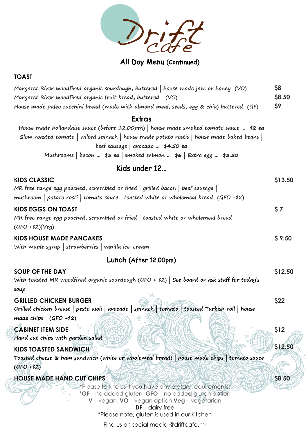

## All Day Menu (Continued)

#### **TOAST**

| Margaret River woodfired organic sourdough, buttered   house made jam or honey (VO)      | <b>\$8</b>    |
|------------------------------------------------------------------------------------------|---------------|
| Margaret River woodfired organic fruit bread, buttered (VO)                              | <b>\$8.50</b> |
| House made paleo zucchini bread (made with almond meal, seeds, egg & chia) buttered (GF) | - S9          |

#### **Extras**

| House made hollandaise sauce (before 12.00pm)   house made smoked tomato sauce $\sharp 2$ ea |  |  |  |
|----------------------------------------------------------------------------------------------|--|--|--|
| Slow roasted tomato   wilted spinach   house made potato rostis   house made baked beans     |  |  |  |
| beef sausage   avocado $\frac{1}{44.50}$ ea                                                  |  |  |  |
| Mushrooms   bacon $\sharp$ 5 ea   smoked salmon $\sharp$ 6   Extra egg $\sharp$ 3.50         |  |  |  |

### Kids under 12…

| <b>KIDS CLASSIC</b>                                                                                   | \$13.50       |
|-------------------------------------------------------------------------------------------------------|---------------|
| MR free range egg poached, scrambled or fried   grilled bacon   beef sausage                          |               |
| mushroom   potato rosti   tomato sauce   toasted white or wholemeal bread $(GFO + \frac{1}{2})$       |               |
| <b>KIDS EGGS ON TOAST</b>                                                                             | \$7           |
| MR free range egg poached, scrambled or fried   toasted white or wholemeal bread                      |               |
| $(GFO + 12)(Veg)$                                                                                     |               |
| <b>KIDS HOUSE MADE PANCAKES</b>                                                                       | \$9.50        |
| With maple syrup   strawberries   vanilla ice-cream                                                   |               |
| Lunch (After 12.00pm)                                                                                 |               |
| <b>SOUP OF THE DAY</b>                                                                                | \$12.50       |
| With toasted MR woodfired organic sourdough (GFO + $\frac{1}{2}$ ) See board or ask staff for today's |               |
| soup                                                                                                  |               |
| <b>GRILLED CHICKEN BURGER</b>                                                                         | \$22          |
| Grilled chicken breast   pesto aioli   avocado   spinach   tomato   toasted Turkish roll   house      |               |
| made chips $(GFO + 12)$                                                                               |               |
| <b>CABINET ITEM SIDE</b>                                                                              | \$12          |
| Hand cut chips with garden salad                                                                      |               |
|                                                                                                       | \$12.50       |
| <b>KIDS TOASTED SANDWICH</b>                                                                          |               |
| Toasted cheese & ham sandwich (white or wholemeal bread)   house made chips   tomato sauce            |               |
| $(GFO + 12)$                                                                                          |               |
| <b>HOUSE MADE HAND CUT CHIPS</b>                                                                      | <b>\$8.50</b> |
| *Please talk to us if you have any dietary requirements!                                              |               |
| *GF - no added gluten, GFO - no added gluten option                                                   |               |
| $V$ – vegan, $VO$ – vegan option $Veg$ – vegetarian                                                   |               |
| $DF -$ dairy free<br>*Please note, gluten is used in our kitchen                                      |               |
|                                                                                                       |               |

Find us on social media @driftcafe.mr